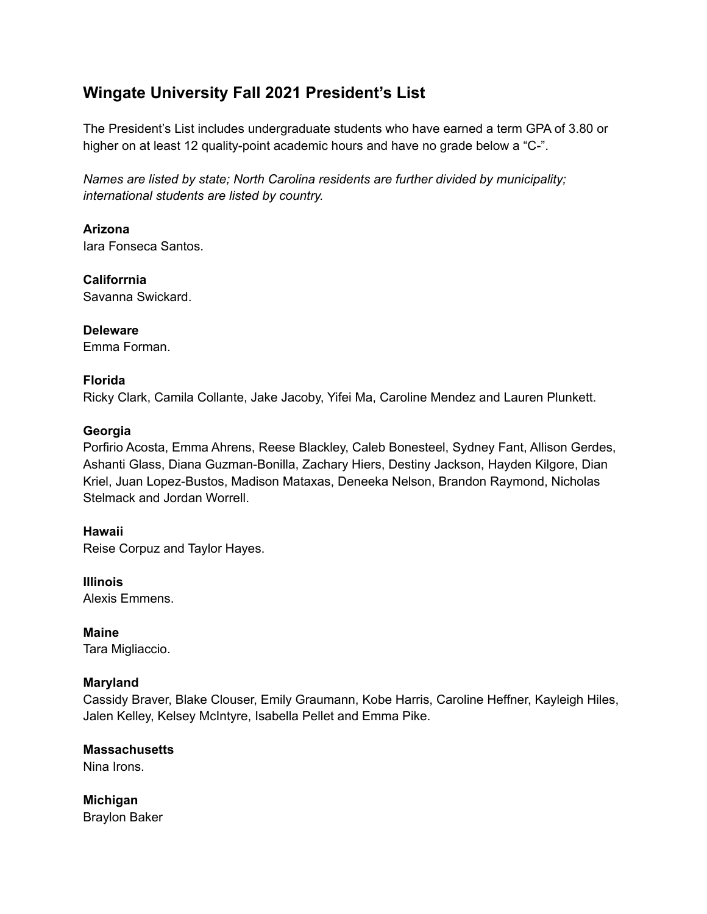# **Wingate University Fall 2021 President's List**

The President's List includes undergraduate students who have earned a term GPA of 3.80 or higher on at least 12 quality-point academic hours and have no grade below a "C-".

*Names are listed by state; North Carolina residents are further divided by municipality; international students are listed by country.*

**Arizona** Iara Fonseca Santos.

**Califorrnia** Savanna Swickard.

**Deleware** Emma Forman.

# **Florida**

Ricky Clark, Camila Collante, Jake Jacoby, Yifei Ma, Caroline Mendez and Lauren Plunkett.

# **Georgia**

Porfirio Acosta, Emma Ahrens, Reese Blackley, Caleb Bonesteel, Sydney Fant, Allison Gerdes, Ashanti Glass, Diana Guzman-Bonilla, Zachary Hiers, Destiny Jackson, Hayden Kilgore, Dian Kriel, Juan Lopez-Bustos, Madison Mataxas, Deneeka Nelson, Brandon Raymond, Nicholas Stelmack and Jordan Worrell.

**Hawaii**

Reise Corpuz and Taylor Hayes.

**Illinois** Alexis Emmens.

**Maine** Tara Migliaccio.

# **Maryland**

Cassidy Braver, Blake Clouser, Emily Graumann, Kobe Harris, Caroline Heffner, Kayleigh Hiles, Jalen Kelley, Kelsey McIntyre, Isabella Pellet and Emma Pike.

**Massachusetts** Nina Irons.

**Michigan** Braylon Baker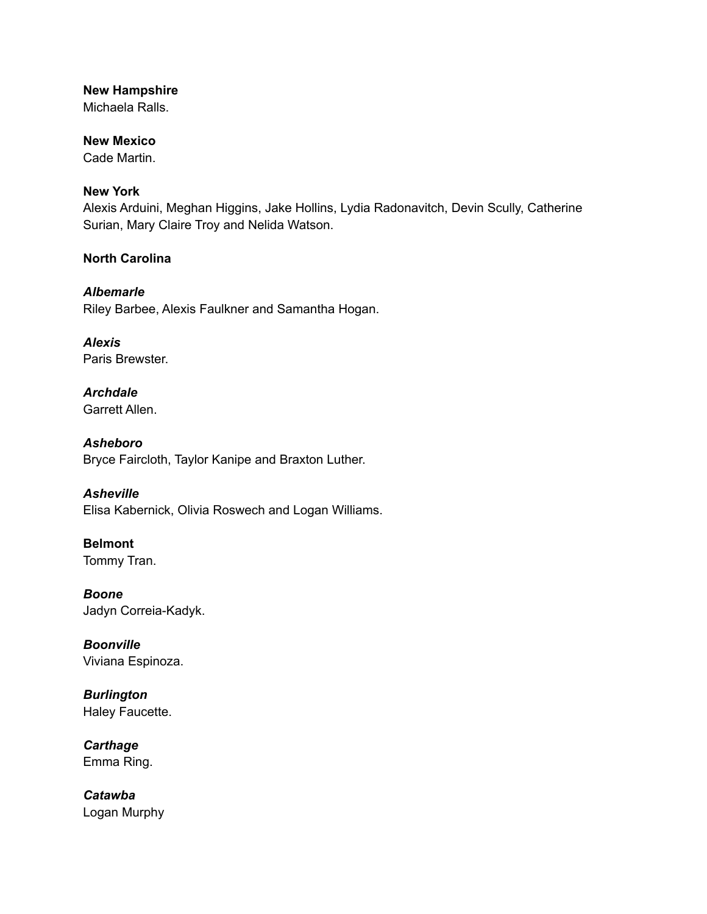## **New Hampshire**

Michaela Ralls.

# **New Mexico**

Cade Martin.

# **New York**

Alexis Arduini, Meghan Higgins, Jake Hollins, Lydia Radonavitch, Devin Scully, Catherine Surian, Mary Claire Troy and Nelida Watson.

# **North Carolina**

*Albemarle* Riley Barbee, Alexis Faulkner and Samantha Hogan.

*Alexis* Paris Brewster.

# *Archdale* Garrett Allen.

*Asheboro* Bryce Faircloth, Taylor Kanipe and Braxton Luther.

# *Asheville*

Elisa Kabernick, Olivia Roswech and Logan Williams.

# **Belmont** Tommy Tran.

*Boone* Jadyn Correia-Kadyk.

*Boonville* Viviana Espinoza.

*Burlington* Haley Faucette.

*Carthage* Emma Ring.

*Catawba* Logan Murphy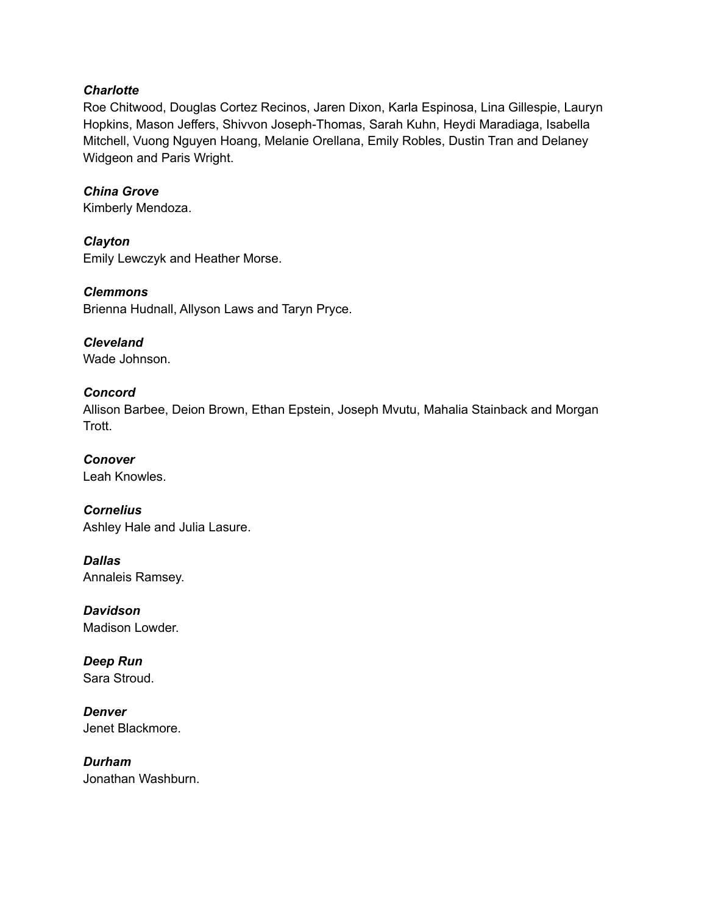#### *Charlotte*

Roe Chitwood, Douglas Cortez Recinos, Jaren Dixon, Karla Espinosa, Lina Gillespie, Lauryn Hopkins, Mason Jeffers, Shivvon Joseph-Thomas, Sarah Kuhn, Heydi Maradiaga, Isabella Mitchell, Vuong Nguyen Hoang, Melanie Orellana, Emily Robles, Dustin Tran and Delaney Widgeon and Paris Wright.

#### *China Grove*

Kimberly Mendoza.

*Clayton* Emily Lewczyk and Heather Morse.

*Clemmons*

Brienna Hudnall, Allyson Laws and Taryn Pryce.

*Cleveland* Wade Johnson.

#### *Concord*

Allison Barbee, Deion Brown, Ethan Epstein, Joseph Mvutu, Mahalia Stainback and Morgan Trott.

*Conover* Leah Knowles.

*Cornelius* Ashley Hale and Julia Lasure.

*Dallas* Annaleis Ramsey.

*Davidson* Madison Lowder.

*Deep Run* Sara Stroud.

*Denver* Jenet Blackmore.

*Durham* Jonathan Washburn.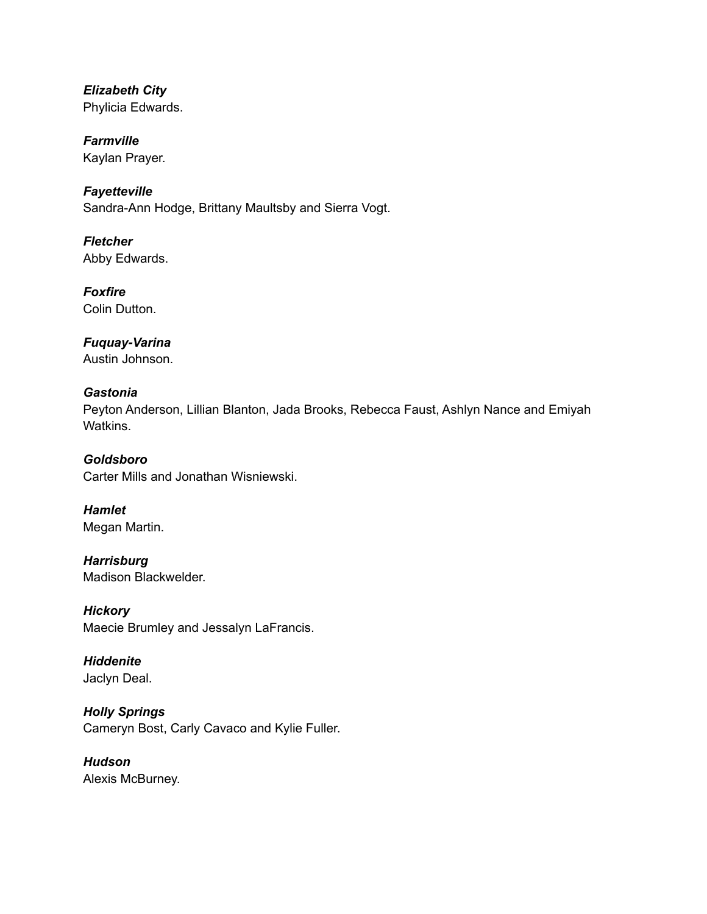*Elizabeth City* Phylicia Edwards.

*Farmville* Kaylan Prayer.

*Fayetteville* Sandra-Ann Hodge, Brittany Maultsby and Sierra Vogt.

*Fletcher* Abby Edwards.

*Foxfire* Colin Dutton.

*Fuquay-Varina* Austin Johnson.

# *Gastonia*

Peyton Anderson, Lillian Blanton, Jada Brooks, Rebecca Faust, Ashlyn Nance and Emiyah Watkins.

*Goldsboro* Carter Mills and Jonathan Wisniewski.

*Hamlet* Megan Martin.

*Harrisburg* Madison Blackwelder.

*Hickory* Maecie Brumley and Jessalyn LaFrancis.

*Hiddenite* Jaclyn Deal.

*Holly Springs* Cameryn Bost, Carly Cavaco and Kylie Fuller.

*Hudson* Alexis McBurney.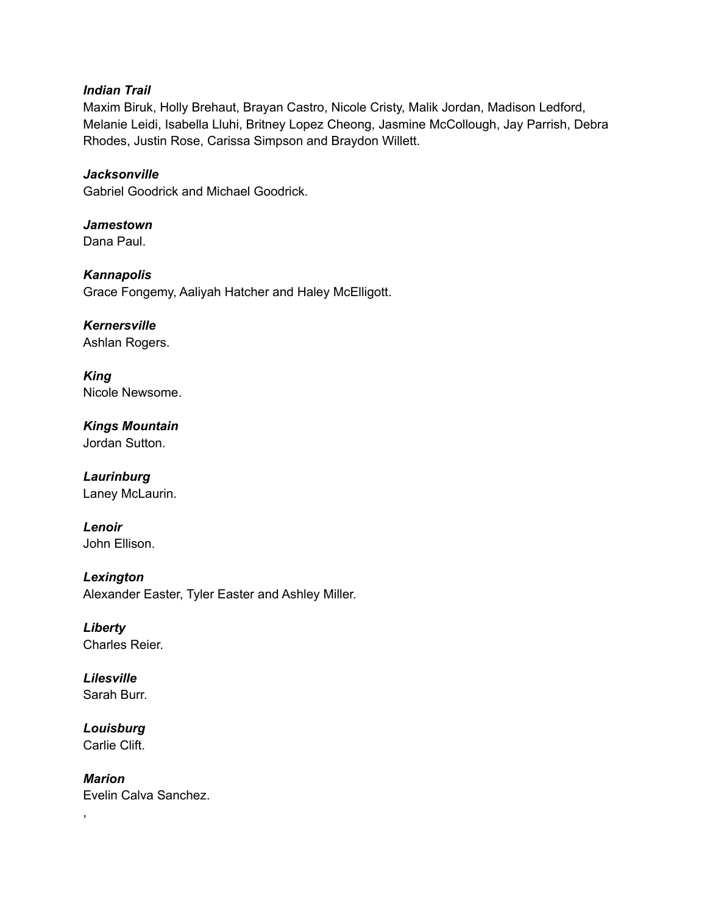#### *Indian Trail*

Maxim Biruk, Holly Brehaut, Brayan Castro, Nicole Cristy, Malik Jordan, Madison Ledford, Melanie Leidi, Isabella Lluhi, Britney Lopez Cheong, Jasmine McCollough, Jay Parrish, Debra Rhodes, Justin Rose, Carissa Simpson and Braydon Willett.

*Jacksonville* Gabriel Goodrick and Michael Goodrick.

*Jamestown* Dana Paul.

*Kannapolis* Grace Fongemy, Aaliyah Hatcher and Haley McElligott.

*Kernersville* Ashlan Rogers.

*King* Nicole Newsome.

*Kings Mountain* Jordan Sutton.

### *Laurinburg* Laney McLaurin.

*Lenoir*

John Ellison.

*Lexington* Alexander Easter, Tyler Easter and Ashley Miller.

*Liberty* Charles Reier.

*Lilesville* Sarah Burr.

*Louisburg* Carlie Clift.

*Marion* Evelin Calva Sanchez.

,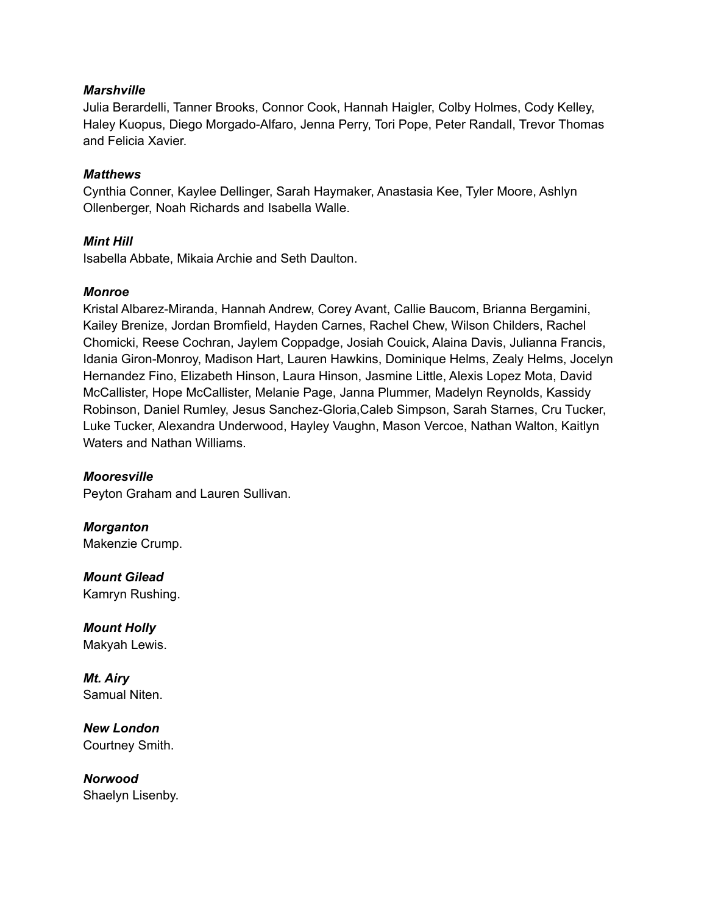### *Marshville*

Julia Berardelli, Tanner Brooks, Connor Cook, Hannah Haigler, Colby Holmes, Cody Kelley, Haley Kuopus, Diego Morgado-Alfaro, Jenna Perry, Tori Pope, Peter Randall, Trevor Thomas and Felicia Xavier.

### *Matthews*

Cynthia Conner, Kaylee Dellinger, Sarah Haymaker, Anastasia Kee, Tyler Moore, Ashlyn Ollenberger, Noah Richards and Isabella Walle.

# *Mint Hill*

Isabella Abbate, Mikaia Archie and Seth Daulton.

# *Monroe*

Kristal Albarez-Miranda, Hannah Andrew, Corey Avant, Callie Baucom, Brianna Bergamini, Kailey Brenize, Jordan Bromfield, Hayden Carnes, Rachel Chew, Wilson Childers, Rachel Chomicki, Reese Cochran, Jaylem Coppadge, Josiah Couick, Alaina Davis, Julianna Francis, Idania Giron-Monroy, Madison Hart, Lauren Hawkins, Dominique Helms, Zealy Helms, Jocelyn Hernandez Fino, Elizabeth Hinson, Laura Hinson, Jasmine Little, Alexis Lopez Mota, David McCallister, Hope McCallister, Melanie Page, Janna Plummer, Madelyn Reynolds, Kassidy Robinson, Daniel Rumley, Jesus Sanchez-Gloria,Caleb Simpson, Sarah Starnes, Cru Tucker, Luke Tucker, Alexandra Underwood, Hayley Vaughn, Mason Vercoe, Nathan Walton, Kaitlyn Waters and Nathan Williams.

#### *Mooresville*

Peyton Graham and Lauren Sullivan.

*Morganton* Makenzie Crump.

*Mount Gilead* Kamryn Rushing.

*Mount Holly* Makyah Lewis.

*Mt. Airy* Samual Niten.

*New London* Courtney Smith.

*Norwood* Shaelyn Lisenby.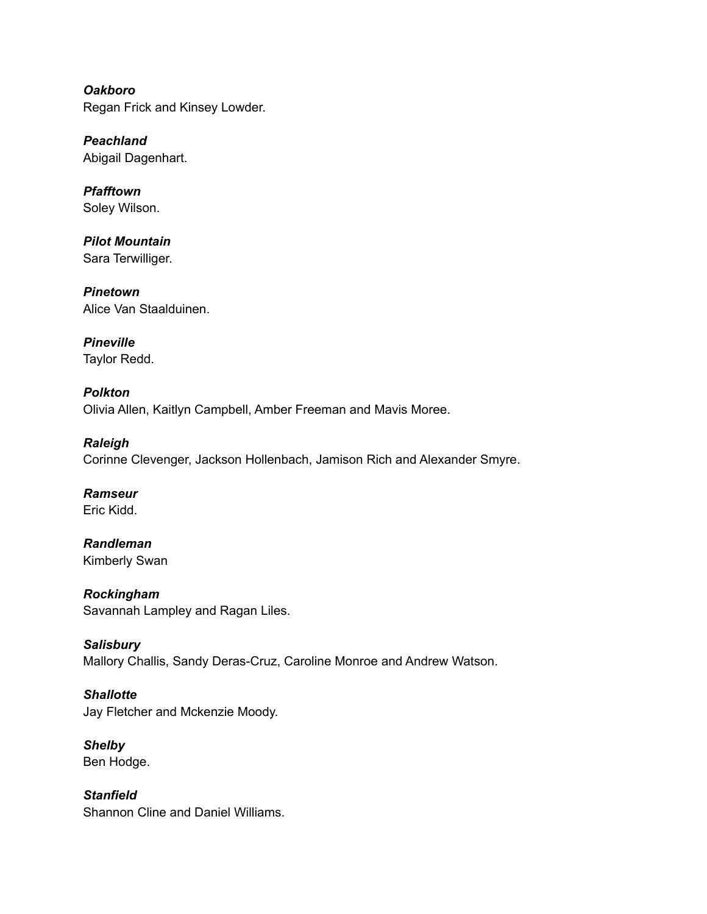*Oakboro* Regan Frick and Kinsey Lowder.

*Peachland* Abigail Dagenhart.

*Pfafftown* Soley Wilson.

*Pilot Mountain* Sara Terwilliger.

*Pinetown* Alice Van Staalduinen.

*Pineville* Taylor Redd.

*Polkton* Olivia Allen, Kaitlyn Campbell, Amber Freeman and Mavis Moree.

*Raleigh* Corinne Clevenger, Jackson Hollenbach, Jamison Rich and Alexander Smyre.

*Ramseur* Eric Kidd.

*Randleman* Kimberly Swan

*Rockingham* Savannah Lampley and Ragan Liles.

*Salisbury* Mallory Challis, Sandy Deras-Cruz, Caroline Monroe and Andrew Watson.

*Shallotte* Jay Fletcher and Mckenzie Moody.

*Shelby* Ben Hodge.

*Stanfield* Shannon Cline and Daniel Williams.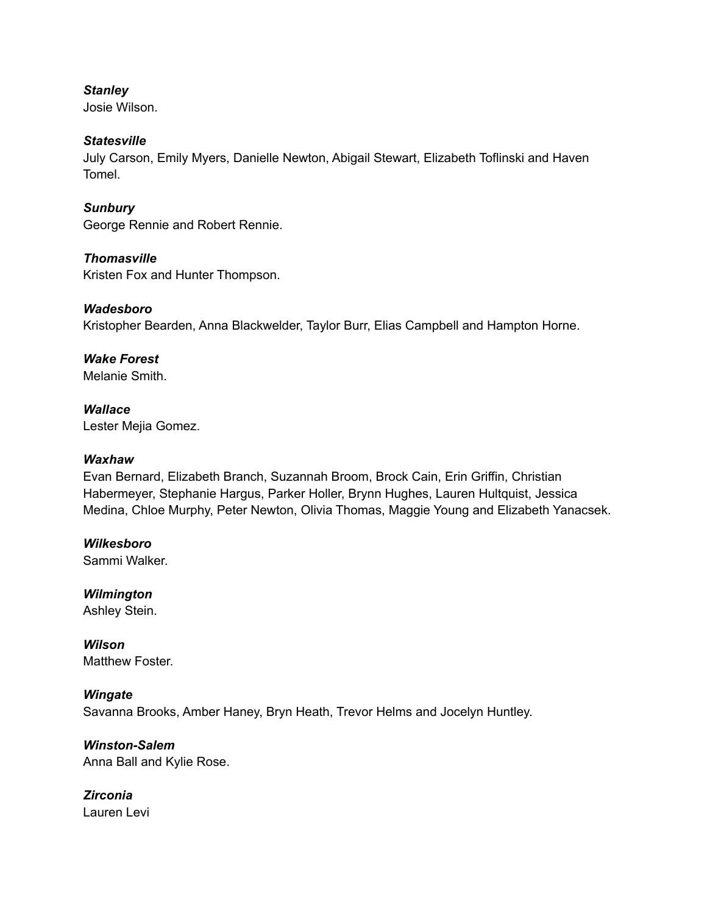# *Stanley*

Josie Wilson.

# *Statesville*

July Carson, Emily Myers, Danielle Newton, Abigail Stewart, Elizabeth Toflinski and Haven Tomel.

*Sunbury*

George Rennie and Robert Rennie.

*Thomasville* Kristen Fox and Hunter Thompson.

# *Wadesboro*

Kristopher Bearden, Anna Blackwelder, Taylor Burr, Elias Campbell and Hampton Horne.

# *Wake Forest*

Melanie Smith.

*Wallace* Lester Mejia Gomez.

### *Waxhaw*

Evan Bernard, Elizabeth Branch, Suzannah Broom, Brock Cain, Erin Griffin, Christian Habermeyer, Stephanie Hargus, Parker Holler, Brynn Hughes, Lauren Hultquist, Jessica Medina, Chloe Murphy, Peter Newton, Olivia Thomas, Maggie Young and Elizabeth Yanacsek.

*Wilkesboro* Sammi Walker.

*Wilmington* Ashley Stein.

*Wilson* Matthew Foster.

# *Wingate*

Savanna Brooks, Amber Haney, Bryn Heath, Trevor Helms and Jocelyn Huntley.

*Winston-Salem* Anna Ball and Kylie Rose.

*Zirconia* Lauren Levi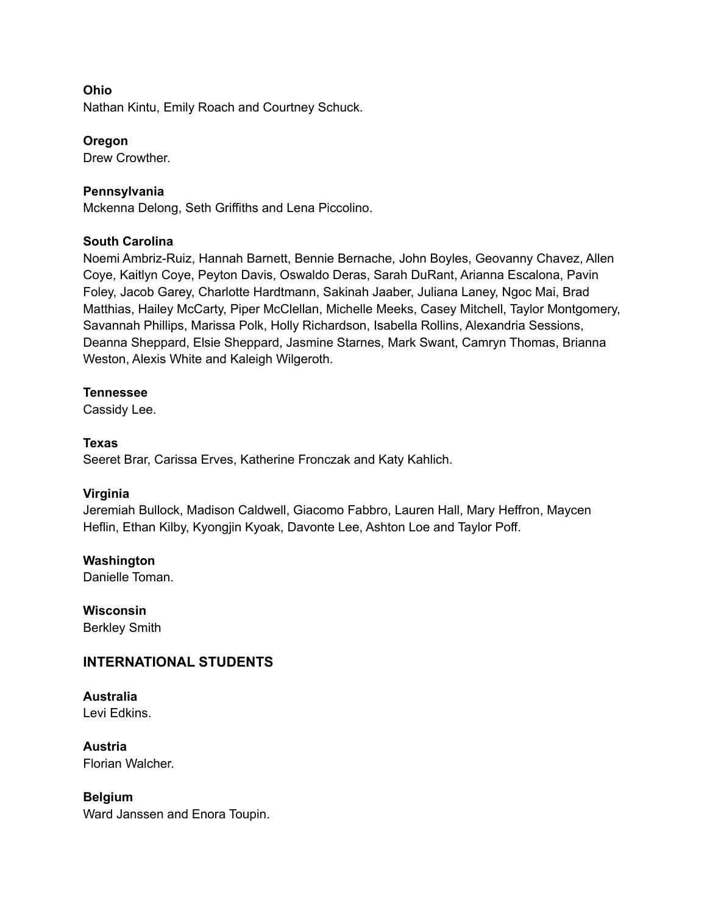## **Ohio**

Nathan Kintu, Emily Roach and Courtney Schuck.

#### **Oregon**

Drew Crowther.

### **Pennsylvania**

Mckenna Delong, Seth Griffiths and Lena Piccolino.

#### **South Carolina**

Noemi Ambriz-Ruiz, Hannah Barnett, Bennie Bernache, John Boyles, Geovanny Chavez, Allen Coye, Kaitlyn Coye, Peyton Davis, Oswaldo Deras, Sarah DuRant, Arianna Escalona, Pavin Foley, Jacob Garey, Charlotte Hardtmann, Sakinah Jaaber, Juliana Laney, Ngoc Mai, Brad Matthias, Hailey McCarty, Piper McClellan, Michelle Meeks, Casey Mitchell, Taylor Montgomery, Savannah Phillips, Marissa Polk, Holly Richardson, Isabella Rollins, Alexandria Sessions, Deanna Sheppard, Elsie Sheppard, Jasmine Starnes, Mark Swant, Camryn Thomas, Brianna Weston, Alexis White and Kaleigh Wilgeroth.

#### **Tennessee**

Cassidy Lee.

#### **Texas**

Seeret Brar, Carissa Erves, Katherine Fronczak and Katy Kahlich.

#### **Virginia**

Jeremiah Bullock, Madison Caldwell, Giacomo Fabbro, Lauren Hall, Mary Heffron, Maycen Heflin, Ethan Kilby, Kyongjin Kyoak, Davonte Lee, Ashton Loe and Taylor Poff.

**Washington**

Danielle Toman.

**Wisconsin** Berkley Smith

# **INTERNATIONAL STUDENTS**

# **Australia**

Levi Edkins.

**Austria** Florian Walcher.

#### **Belgium**

Ward Janssen and Enora Toupin.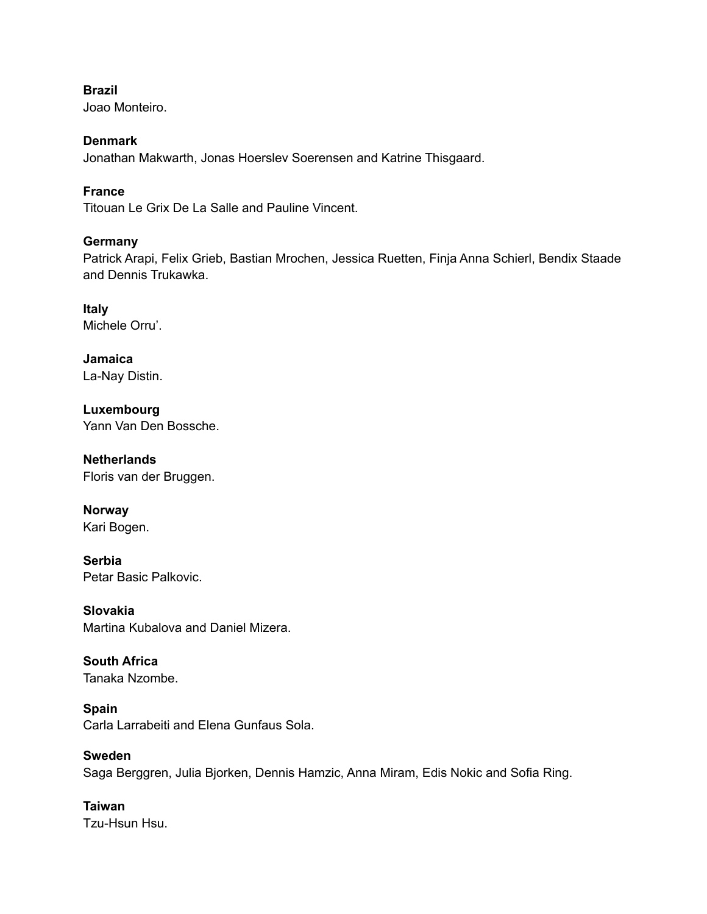**Brazil**

Joao Monteiro.

# **Denmark**

Jonathan Makwarth, Jonas Hoerslev Soerensen and Katrine Thisgaard.

# **France**

Titouan Le Grix De La Salle and Pauline Vincent.

# **Germany**

Patrick Arapi, Felix Grieb, Bastian Mrochen, Jessica Ruetten, Finja Anna Schierl, Bendix Staade and Dennis Trukawka.

**Italy** Michele Orru'.

**Jamaica** La-Nay Distin.

**Luxembourg** Yann Van Den Bossche.

**Netherlands** Floris van der Bruggen.

**Norway** Kari Bogen.

**Serbia** Petar Basic Palkovic.

**Slovakia** Martina Kubalova and Daniel Mizera.

**South Africa** Tanaka Nzombe.

**Spain** Carla Larrabeiti and Elena Gunfaus Sola.

**Sweden** Saga Berggren, Julia Bjorken, Dennis Hamzic, Anna Miram, Edis Nokic and Sofia Ring.

**Taiwan** Tzu-Hsun Hsu.